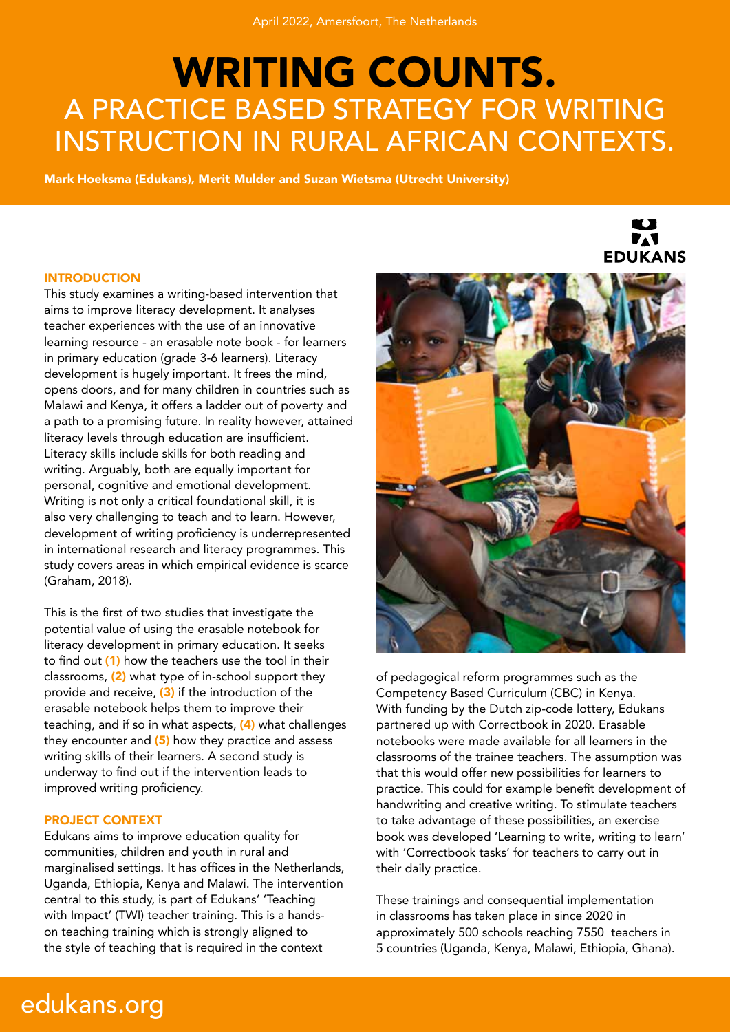# WRITING COUNTS. A PRACTICE BASED STRATEGY FOR WRITING INSTRUCTION IN RURAL AFRICAN CONTEXTS.

Mark Hoeksma (Edukans), Merit Mulder and Suzan Wietsma (Utrecht University)

#### INTRODUCTION

This study examines a writing-based intervention that aims to improve literacy development. It analyses teacher experiences with the use of an innovative learning resource - an erasable note book - for learners in primary education (grade 3-6 learners). Literacy development is hugely important. It frees the mind, opens doors, and for many children in countries such as Malawi and Kenya, it offers a ladder out of poverty and a path to a promising future. In reality however, attained literacy levels through education are insufficient. Literacy skills include skills for both reading and writing. Arguably, both are equally important for personal, cognitive and emotional development. Writing is not only a critical foundational skill, it is also very challenging to teach and to learn. However, development of writing proficiency is underrepresented in international research and literacy programmes. This study covers areas in which empirical evidence is scarce (Graham, 2018).

This is the first of two studies that investigate the potential value of using the erasable notebook for literacy development in primary education. It seeks to find out (1) how the teachers use the tool in their classrooms, (2) what type of in-school support they provide and receive, (3) if the introduction of the erasable notebook helps them to improve their teaching, and if so in what aspects, (4) what challenges they encounter and  $(5)$  how they practice and assess writing skills of their learners. A second study is underway to find out if the intervention leads to improved writing proficiency.

#### PROJECT CONTEXT

Edukans aims to improve education quality for communities, children and youth in rural and marginalised settings. It has offices in the Netherlands, Uganda, Ethiopia, Kenya and Malawi. The intervention central to this study, is part of Edukans' 'Teaching with Impact' (TWI) teacher training. This is a handson teaching training which is strongly aligned to the style of teaching that is required in the context



of pedagogical reform programmes such as the Competency Based Curriculum (CBC) in Kenya. With funding by the Dutch zip-code lottery, Edukans partnered up with Correctbook in 2020. Erasable notebooks were made available for all learners in the classrooms of the trainee teachers. The assumption was that this would offer new possibilities for learners to practice. This could for example benefit development of handwriting and creative writing. To stimulate teachers to take advantage of these possibilities, an exercise book was developed 'Learning to write, writing to learn' with 'Correctbook tasks' for teachers to carry out in their daily practice.

These trainings and consequential implementation in classrooms has taken place in since 2020 in approximately 500 schools reaching 7550 teachers in 5 countries (Uganda, Kenya, Malawi, Ethiopia, Ghana).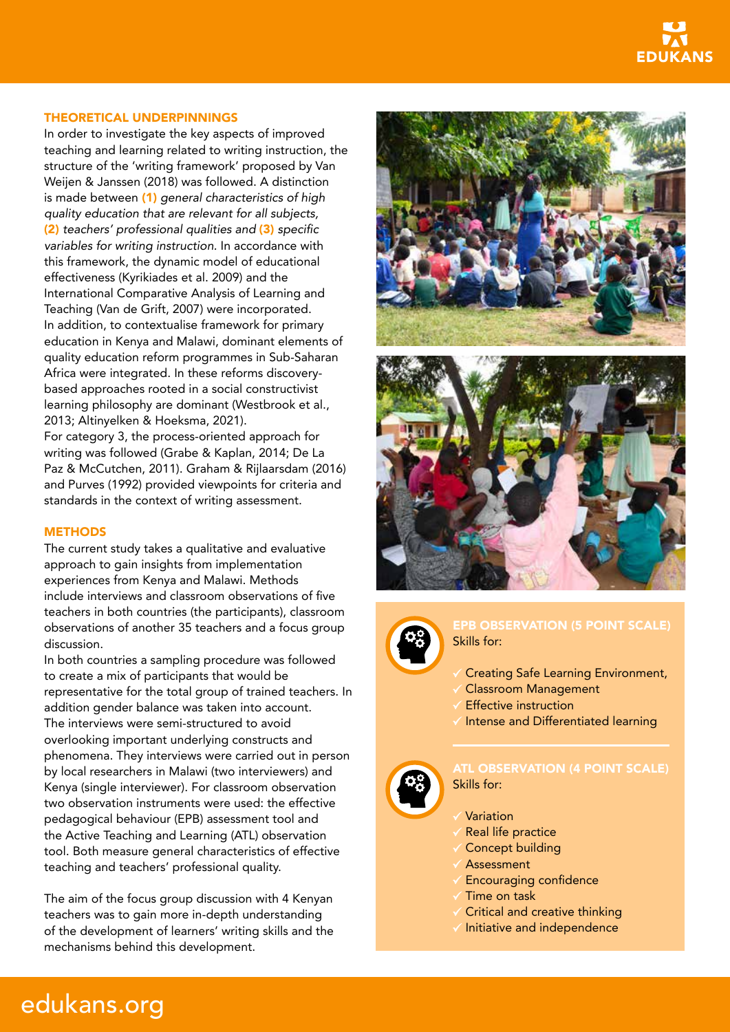

#### THEORETICAL UNDERPINNINGS

In order to investigate the key aspects of improved teaching and learning related to writing instruction, the structure of the 'writing framework' proposed by Van Weijen & Janssen (2018) was followed. A distinction is made between (1) *general characteristics of high quality education that are relevant for all subjects,*  (2) *teachers' professional qualities and* (3) specific *variables for writing instruction.* In accordance with this framework, the dynamic model of educational effectiveness (Kyrikiades et al. 2009) and the International Comparative Analysis of Learning and Teaching (Van de Grift, 2007) were incorporated. In addition, to contextualise framework for primary education in Kenya and Malawi, dominant elements of quality education reform programmes in Sub-Saharan Africa were integrated. In these reforms discoverybased approaches rooted in a social constructivist learning philosophy are dominant (Westbrook et al., 2013; Altinyelken & Hoeksma, 2021).

For category 3, the process-oriented approach for writing was followed (Grabe & Kaplan, 2014; De La Paz & McCutchen, 2011). Graham & Rijlaarsdam (2016) and Purves (1992) provided viewpoints for criteria and standards in the context of writing assessment.

#### **METHODS**

edukans.org

The current study takes a qualitative and evaluative approach to gain insights from implementation experiences from Kenya and Malawi. Methods include interviews and classroom observations of five teachers in both countries (the participants), classroom observations of another 35 teachers and a focus group discussion.

In both countries a sampling procedure was followed to create a mix of participants that would be representative for the total group of trained teachers. In addition gender balance was taken into account. The interviews were semi-structured to avoid overlooking important underlying constructs and phenomena. They interviews were carried out in person by local researchers in Malawi (two interviewers) and Kenya (single interviewer). For classroom observation two observation instruments were used: the effective pedagogical behaviour (EPB) assessment tool and the Active Teaching and Learning (ATL) observation tool. Both measure general characteristics of effective teaching and teachers' professional quality.

The aim of the focus group discussion with 4 Kenyan teachers was to gain more in-depth understanding of the development of learners' writing skills and the mechanisms behind this development.







### EPB OBSERVATION (5 POINT SCALE) Skills for:

- Creating Safe Learning Environment,
- Classroom Management
- Effective instruction
- $\checkmark$  Intense and Differentiated learning



## Skills for:

- Variation
- Real life practice
- Concept building
- Assessment
- Encouraging confidence
- $\checkmark$  Time on task
- $\checkmark$  Critical and creative thinking
- $\checkmark$  Initiative and independence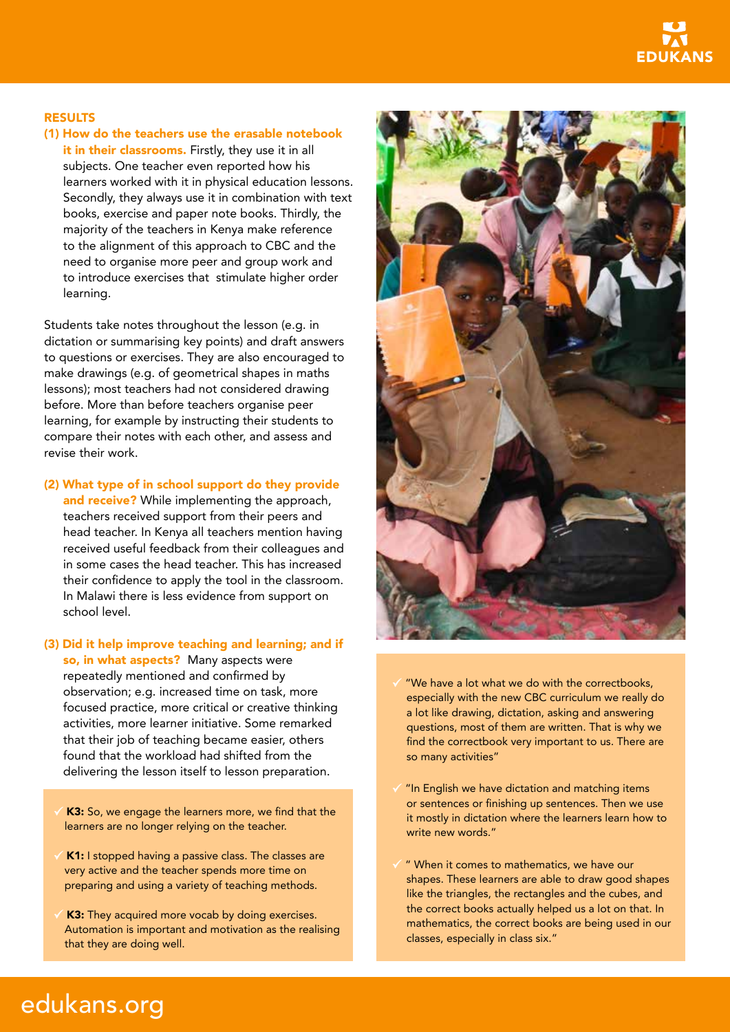

#### RESULTS

(1) How do the teachers use the erasable notebook it in their classrooms. Firstly, they use it in all subjects. One teacher even reported how his learners worked with it in physical education lessons. Secondly, they always use it in combination with text books, exercise and paper note books. Thirdly, the majority of the teachers in Kenya make reference to the alignment of this approach to CBC and the need to organise more peer and group work and to introduce exercises that stimulate higher order learning.

Students take notes throughout the lesson (e.g. in dictation or summarising key points) and draft answers to questions or exercises. They are also encouraged to make drawings (e.g. of geometrical shapes in maths lessons); most teachers had not considered drawing before. More than before teachers organise peer learning, for example by instructing their students to compare their notes with each other, and assess and revise their work.

#### (2) What type of in school support do they provide

and receive? While implementing the approach, teachers received support from their peers and head teacher. In Kenya all teachers mention having received useful feedback from their colleagues and in some cases the head teacher. This has increased their confidence to apply the tool in the classroom. In Malawi there is less evidence from support on school level.

- (3) Did it help improve teaching and learning; and if so, in what aspects? Many aspects were repeatedly mentioned and confirmed by observation; e.g. increased time on task, more focused practice, more critical or creative thinking activities, more learner initiative. Some remarked that their job of teaching became easier, others found that the workload had shifted from the delivering the lesson itself to lesson preparation.
	- K3: So, we engage the learners more, we find that the learners are no longer relying on the teacher.
	- K1: I stopped having a passive class. The classes are very active and the teacher spends more time on preparing and using a variety of teaching methods.
	- K3: They acquired more vocab by doing exercises. Automation is important and motivation as the realising that they are doing well.



- "We have a lot what we do with the correctbooks, especially with the new CBC curriculum we really do a lot like drawing, dictation, asking and answering questions, most of them are written. That is why we find the correctbook very important to us. There are so many activities"
- "In English we have dictation and matching items or sentences or finishing up sentences. Then we use it mostly in dictation where the learners learn how to write new words."
- " When it comes to mathematics, we have our shapes. These learners are able to draw good shapes like the triangles, the rectangles and the cubes, and the correct books actually helped us a lot on that. In mathematics, the correct books are being used in our classes, especially in class six."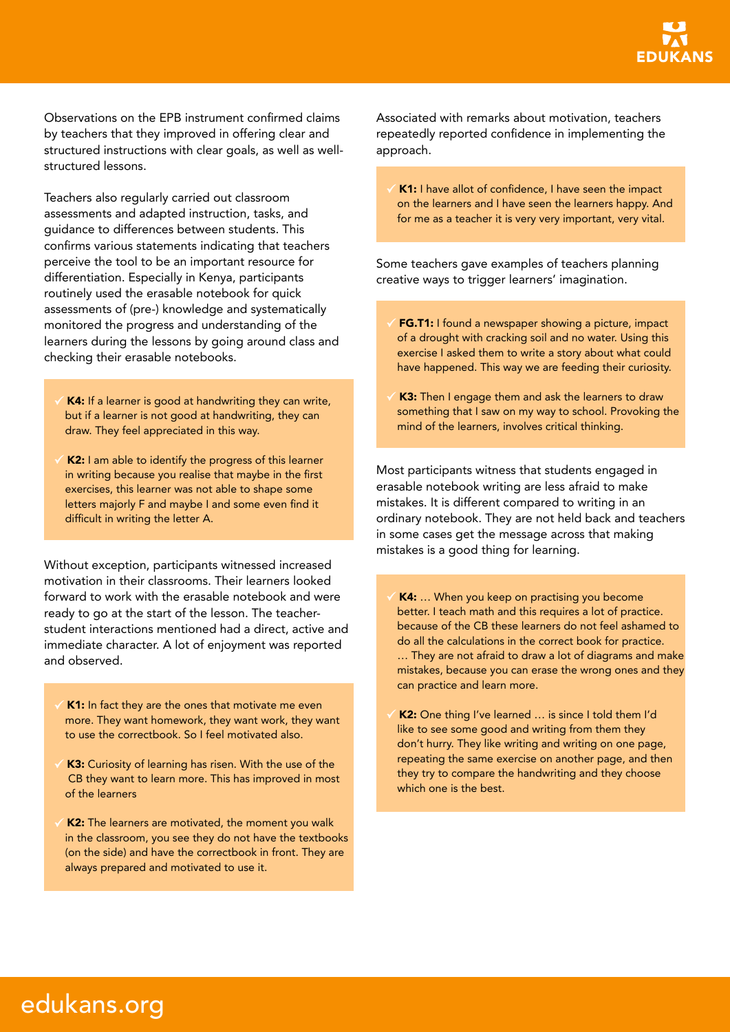Observations on the EPB instrument confirmed claims by teachers that they improved in offering clear and structured instructions with clear goals, as well as wellstructured lessons.

Teachers also regularly carried out classroom assessments and adapted instruction, tasks, and guidance to differences between students. This confirms various statements indicating that teachers perceive the tool to be an important resource for differentiation. Especially in Kenya, participants routinely used the erasable notebook for quick assessments of (pre-) knowledge and systematically monitored the progress and understanding of the learners during the lessons by going around class and checking their erasable notebooks.

- K4: If a learner is good at handwriting they can write, but if a learner is not good at handwriting, they can draw. They feel appreciated in this way.
- K2: I am able to identify the progress of this learner in writing because you realise that maybe in the first exercises, this learner was not able to shape some letters majorly F and maybe I and some even find it difficult in writing the letter A.

Without exception, participants witnessed increased motivation in their classrooms. Their learners looked forward to work with the erasable notebook and were ready to go at the start of the lesson. The teacherstudent interactions mentioned had a direct, active and immediate character. A lot of enjoyment was reported and observed.

- K1: In fact they are the ones that motivate me even more. They want homework, they want work, they want to use the correctbook. So I feel motivated also.
- K3: Curiosity of learning has risen. With the use of the CB they want to learn more. This has improved in most of the learners
- K2: The learners are motivated, the moment you walk in the classroom, you see they do not have the textbooks (on the side) and have the correctbook in front. They are always prepared and motivated to use it.

Associated with remarks about motivation, teachers repeatedly reported confidence in implementing the approach.

K1: I have allot of confidence, I have seen the impact on the learners and I have seen the learners happy. And for me as a teacher it is very very important, very vital.

Some teachers gave examples of teachers planning creative ways to trigger learners' imagination.

- **FG.T1:** I found a newspaper showing a picture, impact of a drought with cracking soil and no water. Using this exercise I asked them to write a story about what could have happened. This way we are feeding their curiosity.
- K3: Then I engage them and ask the learners to draw something that I saw on my way to school. Provoking the mind of the learners, involves critical thinking.

Most participants witness that students engaged in erasable notebook writing are less afraid to make mistakes. It is different compared to writing in an ordinary notebook. They are not held back and teachers in some cases get the message across that making mistakes is a good thing for learning.

K4: ... When you keep on practising you become better. I teach math and this requires a lot of practice. because of the CB these learners do not feel ashamed to do all the calculations in the correct book for practice. … They are not afraid to draw a lot of diagrams and make mistakes, because you can erase the wrong ones and they can practice and learn more.

K2: One thing I've learned … is since I told them I'd like to see some good and writing from them they don't hurry. They like writing and writing on one page, repeating the same exercise on another page, and then they try to compare the handwriting and they choose which one is the best.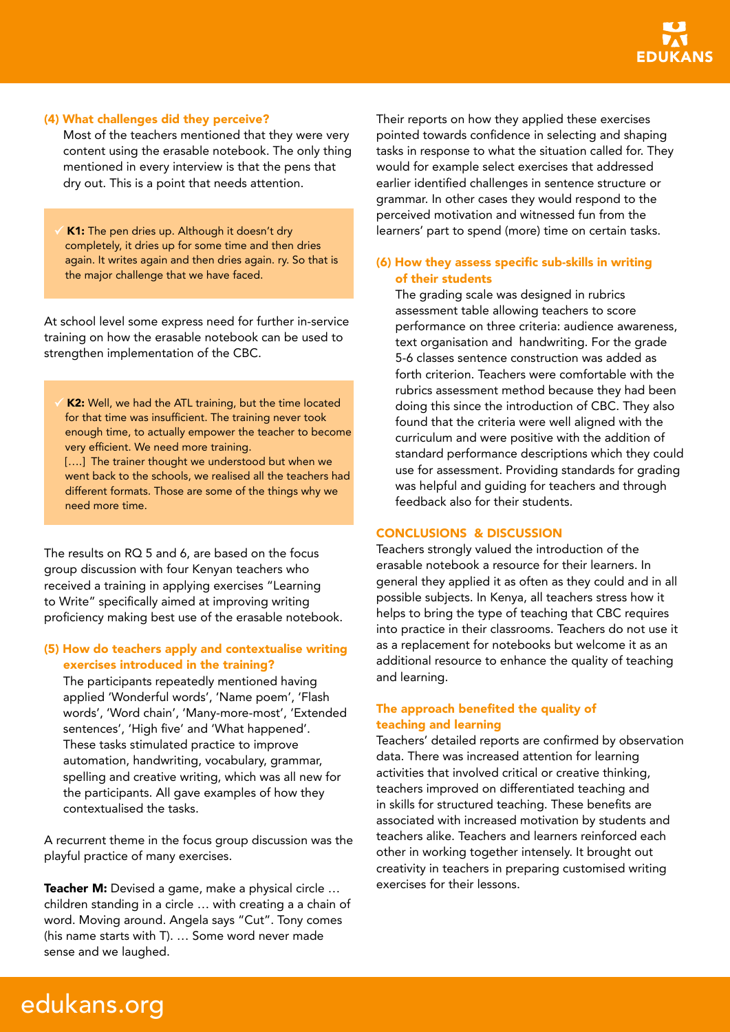### (4) What challenges did they perceive?

Most of the teachers mentioned that they were very content using the erasable notebook. The only thing mentioned in every interview is that the pens that dry out. This is a point that needs attention.

K1: The pen dries up. Although it doesn't dry completely, it dries up for some time and then dries again. It writes again and then dries again. ry. So that is the major challenge that we have faced.

At school level some express need for further in-service training on how the erasable notebook can be used to strengthen implementation of the CBC.

K2: Well, we had the ATL training, but the time located for that time was insufficient. The training never took enough time, to actually empower the teacher to become very efficient. We need more training. [....] The trainer thought we understood but when we went back to the schools, we realised all the teachers had different formats. Those are some of the things why we need more time.

The results on RQ 5 and 6, are based on the focus group discussion with four Kenyan teachers who received a training in applying exercises "Learning to Write" specifically aimed at improving writing proficiency making best use of the erasable notebook.

### (5) How do teachers apply and contextualise writing exercises introduced in the training?

The participants repeatedly mentioned having applied 'Wonderful words', 'Name poem', 'Flash words', 'Word chain', 'Many-more-most', 'Extended sentences', 'High five' and 'What happened'. These tasks stimulated practice to improve automation, handwriting, vocabulary, grammar, spelling and creative writing, which was all new for the participants. All gave examples of how they contextualised the tasks.

A recurrent theme in the focus group discussion was the playful practice of many exercises.

Teacher M: Devised a game, make a physical circle … children standing in a circle … with creating a a chain of word. Moving around. Angela says "Cut". Tony comes (his name starts with T). … Some word never made sense and we laughed.

Their reports on how they applied these exercises pointed towards confidence in selecting and shaping tasks in response to what the situation called for. They would for example select exercises that addressed earlier identified challenges in sentence structure or grammar. In other cases they would respond to the perceived motivation and witnessed fun from the learners' part to spend (more) time on certain tasks.

## (6) How they assess specific sub-skills in writing of their students

The grading scale was designed in rubrics assessment table allowing teachers to score performance on three criteria: audience awareness, text organisation and handwriting. For the grade 5-6 classes sentence construction was added as forth criterion. Teachers were comfortable with the rubrics assessment method because they had been doing this since the introduction of CBC. They also found that the criteria were well aligned with the curriculum and were positive with the addition of standard performance descriptions which they could use for assessment. Providing standards for grading was helpful and guiding for teachers and through feedback also for their students.

## CONCLUSIONS & DISCUSSION

Teachers strongly valued the introduction of the erasable notebook a resource for their learners. In general they applied it as often as they could and in all possible subjects. In Kenya, all teachers stress how it helps to bring the type of teaching that CBC requires into practice in their classrooms. Teachers do not use it as a replacement for notebooks but welcome it as an additional resource to enhance the quality of teaching and learning.

## The approach benefited the quality of teaching and learning

Teachers' detailed reports are confirmed by observation data. There was increased attention for learning activities that involved critical or creative thinking, teachers improved on differentiated teaching and in skills for structured teaching. These benefits are associated with increased motivation by students and teachers alike. Teachers and learners reinforced each other in working together intensely. It brought out creativity in teachers in preparing customised writing exercises for their lessons.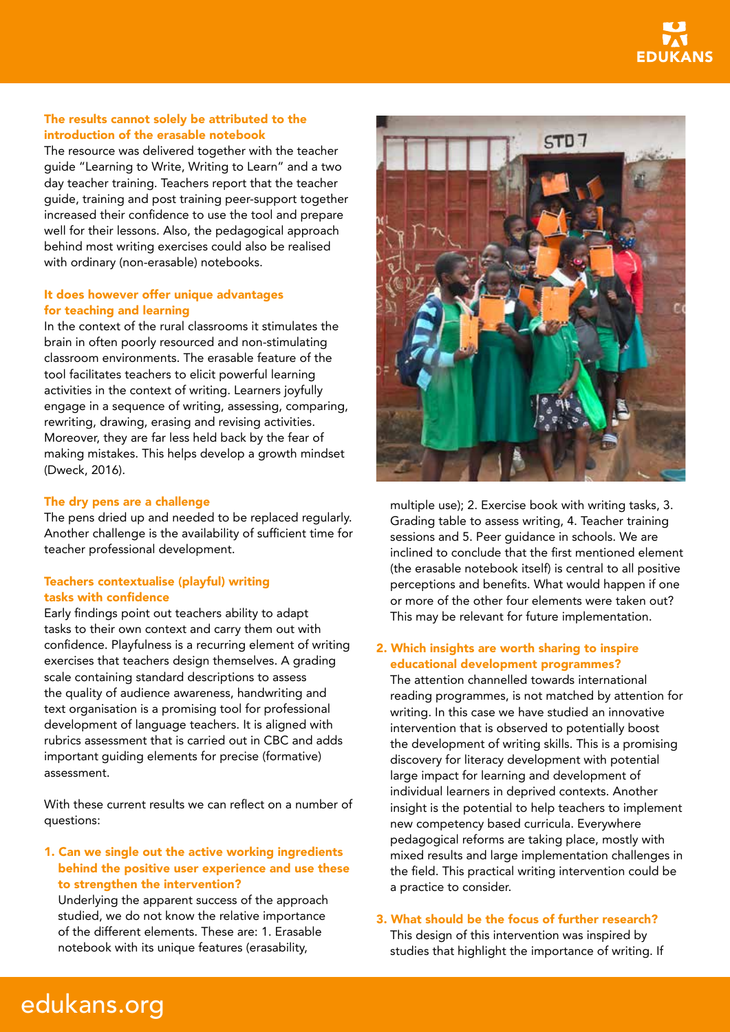

## The results cannot solely be attributed to the introduction of the erasable notebook

The resource was delivered together with the teacher guide "Learning to Write, Writing to Learn" and a two day teacher training. Teachers report that the teacher guide, training and post training peer-support together increased their confidence to use the tool and prepare well for their lessons. Also, the pedagogical approach behind most writing exercises could also be realised with ordinary (non-erasable) notebooks.

### It does however offer unique advantages for teaching and learning

In the context of the rural classrooms it stimulates the brain in often poorly resourced and non-stimulating classroom environments. The erasable feature of the tool facilitates teachers to elicit powerful learning activities in the context of writing. Learners joyfully engage in a sequence of writing, assessing, comparing, rewriting, drawing, erasing and revising activities. Moreover, they are far less held back by the fear of making mistakes. This helps develop a growth mindset (Dweck, 2016).

#### The dry pens are a challenge

The pens dried up and needed to be replaced regularly. Another challenge is the availability of sufficient time for teacher professional development.

### Teachers contextualise (playful) writing tasks with confidence

Early findings point out teachers ability to adapt tasks to their own context and carry them out with confidence. Playfulness is a recurring element of writing exercises that teachers design themselves. A grading scale containing standard descriptions to assess the quality of audience awareness, handwriting and text organisation is a promising tool for professional development of language teachers. It is aligned with rubrics assessment that is carried out in CBC and adds important guiding elements for precise (formative) assessment.

With these current results we can reflect on a number of questions:

### 1. Can we single out the active working ingredients behind the positive user experience and use these to strengthen the intervention?

Underlying the apparent success of the approach studied, we do not know the relative importance of the different elements. These are: 1. Erasable notebook with its unique features (erasability,



multiple use); 2. Exercise book with writing tasks, 3. Grading table to assess writing, 4. Teacher training sessions and 5. Peer guidance in schools. We are inclined to conclude that the first mentioned element (the erasable notebook itself) is central to all positive perceptions and benefits. What would happen if one or more of the other four elements were taken out? This may be relevant for future implementation.

### 2. Which insights are worth sharing to inspire educational development programmes?

The attention channelled towards international reading programmes, is not matched by attention for writing. In this case we have studied an innovative intervention that is observed to potentially boost the development of writing skills. This is a promising discovery for literacy development with potential large impact for learning and development of individual learners in deprived contexts. Another insight is the potential to help teachers to implement new competency based curricula. Everywhere pedagogical reforms are taking place, mostly with mixed results and large implementation challenges in the field. This practical writing intervention could be a practice to consider.

## 3. What should be the focus of further research?

This design of this intervention was inspired by studies that highlight the importance of writing. If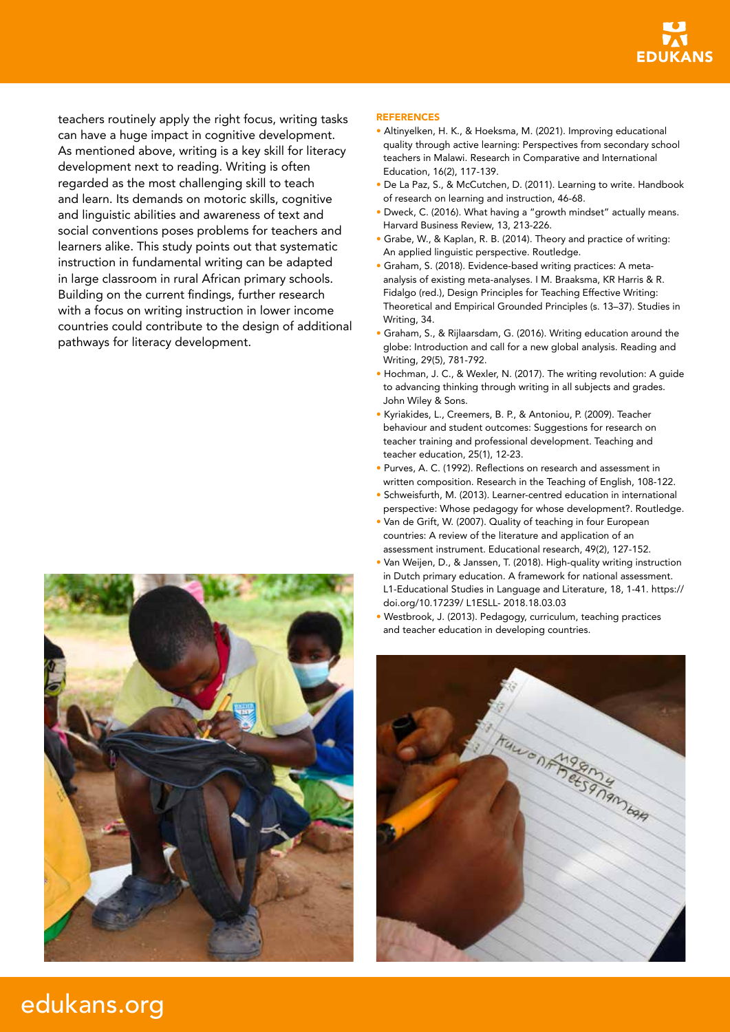

teachers routinely apply the right focus, writing tasks can have a huge impact in cognitive development. As mentioned above, writing is a key skill for literacy development next to reading. Writing is often regarded as the most challenging skill to teach and learn. Its demands on motoric skills, cognitive and linguistic abilities and awareness of text and social conventions poses problems for teachers and learners alike. This study points out that systematic instruction in fundamental writing can be adapted in large classroom in rural African primary schools. Building on the current findings, further research with a focus on writing instruction in lower income countries could contribute to the design of additional pathways for literacy development.



#### REFERENCES

- Altinyelken, H. K., & Hoeksma, M. (2021). Improving educational quality through active learning: Perspectives from secondary school teachers in Malawi. Research in Comparative and International Education, 16(2), 117-139.
- De La Paz, S., & McCutchen, D. (2011). Learning to write. Handbook of research on learning and instruction, 46-68.
- Dweck, C. (2016). What having a "growth mindset" actually means. Harvard Business Review, 13, 213-226.
- Grabe, W., & Kaplan, R. B. (2014). Theory and practice of writing: An applied linguistic perspective. Routledge.
- Graham, S. (2018). Evidence-based writing practices: A metaanalysis of existing meta-analyses. I M. Braaksma, KR Harris & R. Fidalgo (red.), Design Principles for Teaching Effective Writing: Theoretical and Empirical Grounded Principles (s. 13–37). Studies in Writing, 34.
- Graham, S., & Rijlaarsdam, G. (2016). Writing education around the globe: Introduction and call for a new global analysis. Reading and Writing, 29(5), 781-792.
- Hochman, J. C., & Wexler, N. (2017). The writing revolution: A guide to advancing thinking through writing in all subjects and grades. John Wiley & Sons.
- Kyriakides, L., Creemers, B. P., & Antoniou, P. (2009). Teacher behaviour and student outcomes: Suggestions for research on teacher training and professional development. Teaching and teacher education, 25(1), 12-23.
- Purves, A. C. (1992). Reflections on research and assessment in written composition. Research in the Teaching of English, 108-122.
- Schweisfurth, M. (2013). Learner-centred education in international perspective: Whose pedagogy for whose development?. Routledge.
- Van de Grift, W. (2007). Quality of teaching in four European countries: A review of the literature and application of an assessment instrument. Educational research, 49(2), 127-152.
- Van Weijen, D., & Janssen, T. (2018). High-quality writing instruction in Dutch primary education. A framework for national assessment. L1-Educational Studies in Language and Literature, 18, 1-41. https:// doi.org/10.17239/ L1ESLL- 2018.18.03.03
- Westbrook, J. (2013). Pedagogy, curriculum, teaching practices and teacher education in developing countries.